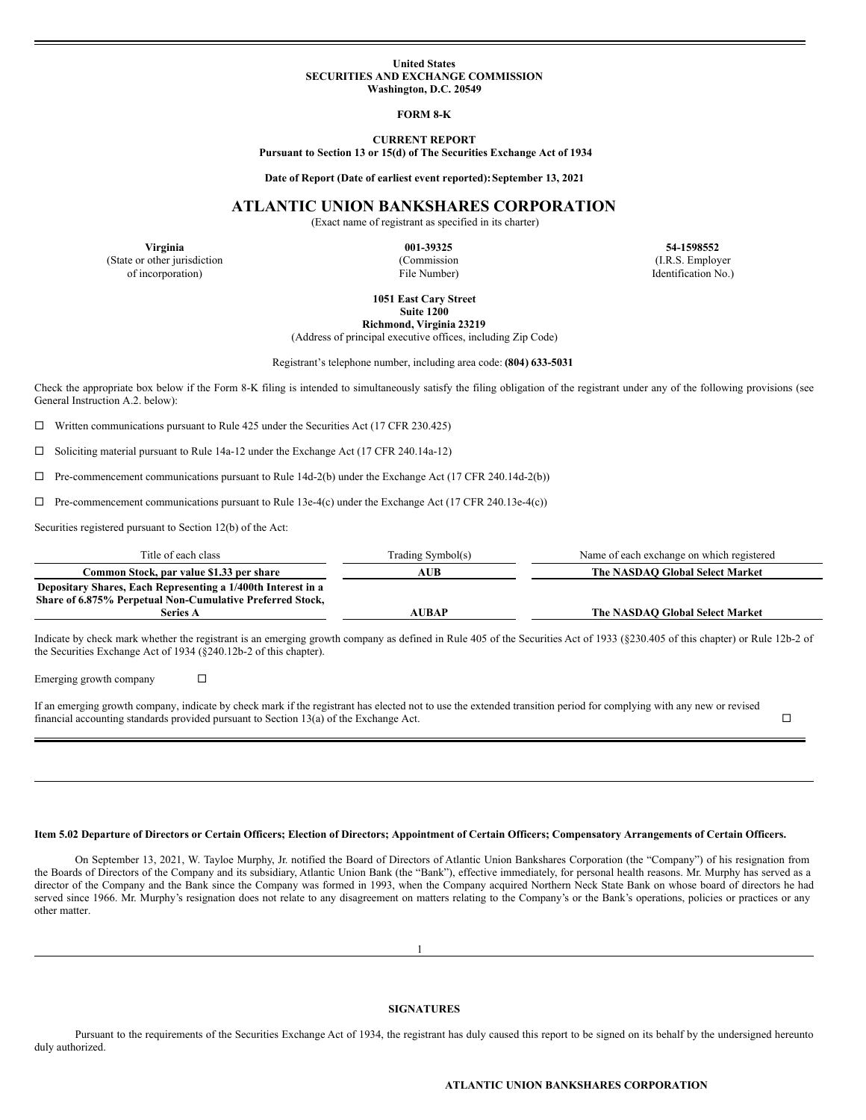### **United States SECURITIES AND EXCHANGE COMMISSION Washington, D.C. 20549**

**FORM 8-K**

### **CURRENT REPORT**

**Pursuant to Section 13 or 15(d) of The Securities Exchange Act of 1934**

**Date of Report (Date of earliest event reported):September 13, 2021**

# **ATLANTIC UNION BANKSHARES CORPORATION**

(Exact name of registrant as specified in its charter)

(State or other jurisdiction (Commission (Commission (I.R.S. Employer of incorporation) (I.R.S. Employer of incorporation)  $\Box$  File Number) (I.R.S. Employer of incorporation)

**Virginia 001-39325 54-1598552** Identification No.)

**1051 East Cary Street**

**Suite 1200**

**Richmond, Virginia 23219**

(Address of principal executive offices, including Zip Code)

Registrant's telephone number, including area code: **(804) 633-5031**

Check the appropriate box below if the Form 8-K filing is intended to simultaneously satisfy the filing obligation of the registrant under any of the following provisions (see General Instruction A.2. below):

 $\Box$  Written communications pursuant to Rule 425 under the Securities Act (17 CFR 230.425)

¨ Soliciting material pursuant to Rule 14a-12 under the Exchange Act (17 CFR 240.14a-12)

 $\Box$  Pre-commencement communications pursuant to Rule 14d-2(b) under the Exchange Act (17 CFR 240.14d-2(b))

 $\Box$  Pre-commencement communications pursuant to Rule 13e-4(c) under the Exchange Act (17 CFR 240.13e-4(c))

Securities registered pursuant to Section 12(b) of the Act:

| Title of each class                                          | Trading Symbol(s) | Name of each exchange on which registered |
|--------------------------------------------------------------|-------------------|-------------------------------------------|
| Common Stock, par value \$1.33 per share                     | AUB               | The NASDAO Global Select Market           |
| Depositary Shares, Each Representing a 1/400th Interest in a |                   |                                           |
| Share of 6.875% Perpetual Non-Cumulative Preferred Stock,    |                   |                                           |
| Series A                                                     | AUBAP             | The NASDAO Global Select Market           |

Indicate by check mark whether the registrant is an emerging growth company as defined in Rule 405 of the Securities Act of 1933 (§230.405 of this chapter) or Rule 12b-2 of the Securities Exchange Act of 1934 (§240.12b-2 of this chapter).

Emerging growth company  $\square$ 

If an emerging growth company, indicate by check mark if the registrant has elected not to use the extended transition period for complying with any new or revised financial accounting standards provided pursuant to Section 13(a) of the Exchange Act.  $\square$ 

## Item 5.02 Departure of Directors or Certain Officers; Election of Directors; Appointment of Certain Officers; Compensatory Arrangements of Certain Officers.

On September 13, 2021, W. Tayloe Murphy, Jr. notified the Board of Directors of Atlantic Union Bankshares Corporation (the "Company") of his resignation from the Boards of Directors of the Company and its subsidiary, Atlantic Union Bank (the "Bank"), effective immediately, for personal health reasons. Mr. Murphy has served as a director of the Company and the Bank since the Company was formed in 1993, when the Company acquired Northern Neck State Bank on whose board of directors he had served since 1966. Mr. Murphy's resignation does not relate to any disagreement on matters relating to the Company's or the Bank's operations, policies or practices or any other matter.

1

# **SIGNATURES**

Pursuant to the requirements of the Securities Exchange Act of 1934, the registrant has duly caused this report to be signed on its behalf by the undersigned hereunto duly authorized.